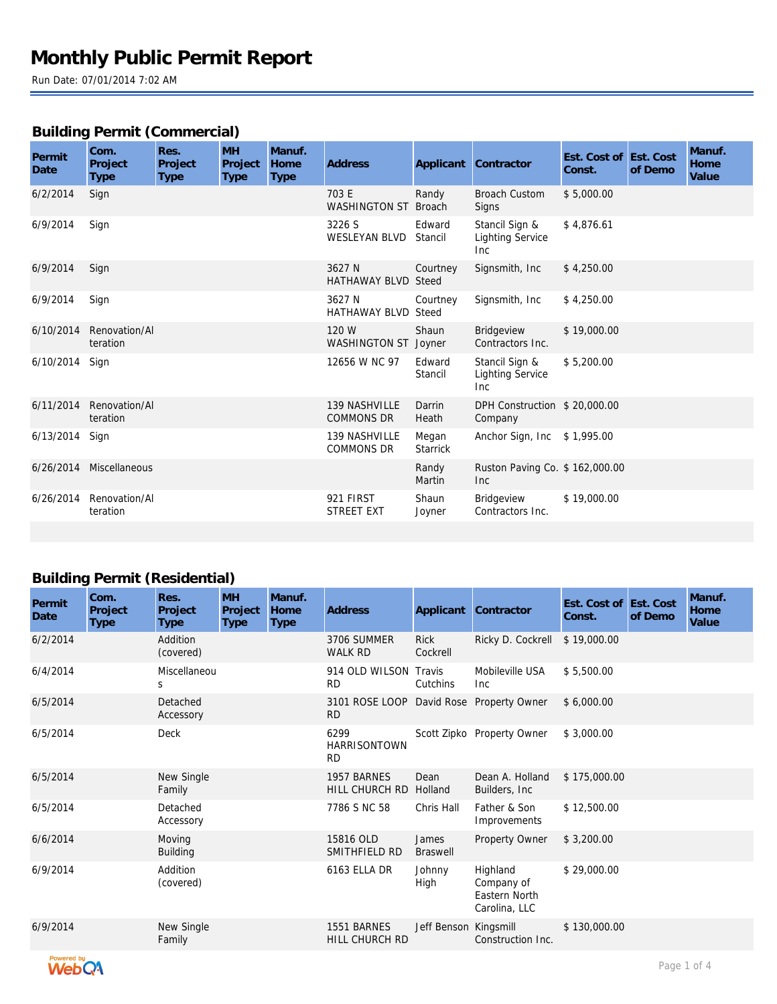## **Building Permit (Commercial)**

| Permit<br>Date | Com.<br>Project<br><b>Type</b> | Res.<br>Project<br>Type | <b>MH</b><br>Project<br><b>Type</b> | Manuf.<br>Home<br><b>Type</b> | <b>Address</b>                       |                          | Applicant Contractor                             | Est. Cost of Est. Cost<br>Const. | of Demo | Manuf.<br>Home<br>Value |
|----------------|--------------------------------|-------------------------|-------------------------------------|-------------------------------|--------------------------------------|--------------------------|--------------------------------------------------|----------------------------------|---------|-------------------------|
| 6/2/2014       | Sign                           |                         |                                     |                               | 703 E<br><b>WASHINGTON ST Broach</b> | Randy                    | <b>Broach Custom</b><br>Signs                    | \$5,000.00                       |         |                         |
| 6/9/2014       | Sign                           |                         |                                     |                               | 3226 S<br><b>WESLEYAN BLVD</b>       | Edward<br>Stancil        | Stancil Sign &<br><b>Lighting Service</b><br>Inc | \$4,876.61                       |         |                         |
| 6/9/2014       | Sign                           |                         |                                     |                               | 3627 N<br><b>HATHAWAY BLVD Steed</b> | Courtney                 | Signsmith, Inc                                   | \$4,250.00                       |         |                         |
| 6/9/2014       | Sign                           |                         |                                     |                               | 3627 N<br>HATHAWAY BLVD Steed        | Courtney                 | Signsmith, Inc.                                  | \$4,250.00                       |         |                         |
| 6/10/2014      | Renovation/Al<br>teration      |                         |                                     |                               | 120 W<br>WASHINGTON ST Joyner        | Shaun                    | Bridgeview<br>Contractors Inc.                   | \$19,000.00                      |         |                         |
| 6/10/2014      | Sign                           |                         |                                     |                               | 12656 W NC 97                        | Edward<br>Stancil        | Stancil Sign &<br><b>Lighting Service</b><br>Inc | \$5,200.00                       |         |                         |
| 6/11/2014      | Renovation/Al<br>teration      |                         |                                     |                               | 139 NASHVILLE<br><b>COMMONS DR</b>   | Darrin<br>Heath          | DPH Construction \$20,000.00<br>Company          |                                  |         |                         |
| 6/13/2014      | Sign                           |                         |                                     |                               | 139 NASHVILLE<br><b>COMMONS DR</b>   | Megan<br><b>Starrick</b> | Anchor Sign, Inc \$1,995.00                      |                                  |         |                         |
| 6/26/2014      | Miscellaneous                  |                         |                                     |                               |                                      | Randy<br>Martin          | Ruston Paving Co. \$162,000.00<br>Inc            |                                  |         |                         |
| 6/26/2014      | Renovation/Al<br>teration      |                         |                                     |                               | 921 FIRST<br><b>STREET EXT</b>       | Shaun<br>Joyner          | Bridgeview<br>Contractors Inc.                   | \$19,000.00                      |         |                         |

# **Building Permit (Residential)**

| Permit<br>Date | Com.<br>Project<br><b>Type</b> | Res.<br>Project<br><b>Type</b> | <b>MH</b><br>Project<br>Type | Manuf.<br>Home<br><b>Type</b> | <b>Address</b>                           | Applicant                | Contractor                                               | Est. Cost of Est. Cost<br>Const. | of Demo | Manuf.<br>Home<br>Value |
|----------------|--------------------------------|--------------------------------|------------------------------|-------------------------------|------------------------------------------|--------------------------|----------------------------------------------------------|----------------------------------|---------|-------------------------|
| 6/2/2014       |                                | Addition<br>(covered)          |                              |                               | 3706 SUMMER<br>WALK RD                   | Rick<br>Cockrell         | Ricky D. Cockrell                                        | \$19,000.00                      |         |                         |
| 6/4/2014       |                                | Miscellaneou<br>S              |                              |                               | 914 OLD WILSON<br><b>RD</b>              | Travis<br>Cutchins       | Mobileville USA<br>Inc.                                  | \$5,500.00                       |         |                         |
| 6/5/2014       |                                | Detached<br>Accessory          |                              |                               | 3101 ROSE LOOP<br><b>RD</b>              |                          | David Rose Property Owner                                | \$6,000.00                       |         |                         |
| 6/5/2014       |                                | Deck                           |                              |                               | 6299<br><b>HARRISONTOWN</b><br><b>RD</b> |                          | Scott Zipko Property Owner                               | \$3,000.00                       |         |                         |
| 6/5/2014       |                                | New Single<br>Family           |                              |                               | 1957 BARNES<br><b>HILL CHURCH RD</b>     | Dean<br>Holland          | Dean A. Holland<br>Builders, Inc.                        | \$175,000.00                     |         |                         |
| 6/5/2014       |                                | Detached<br>Accessory          |                              |                               | 7786 S NC 58                             | Chris Hall               | Father & Son<br>Improvements                             | \$12,500.00                      |         |                         |
| 6/6/2014       |                                | Moving<br><b>Building</b>      |                              |                               | 15816 OLD<br>SMITHFIELD RD               | James<br><b>Braswell</b> | Property Owner                                           | \$3,200.00                       |         |                         |
| 6/9/2014       |                                | Addition<br>(covered)          |                              |                               | 6163 ELLA DR                             | Johnny<br>High           | Highland<br>Company of<br>Eastern North<br>Carolina, LLC | \$29,000.00                      |         |                         |
| 6/9/2014       |                                | New Single<br>Family           |                              |                               | 1551 BARNES<br><b>HILL CHURCH RD</b>     | Jeff Benson Kingsmill    | Construction Inc.                                        | \$130,000.00                     |         |                         |

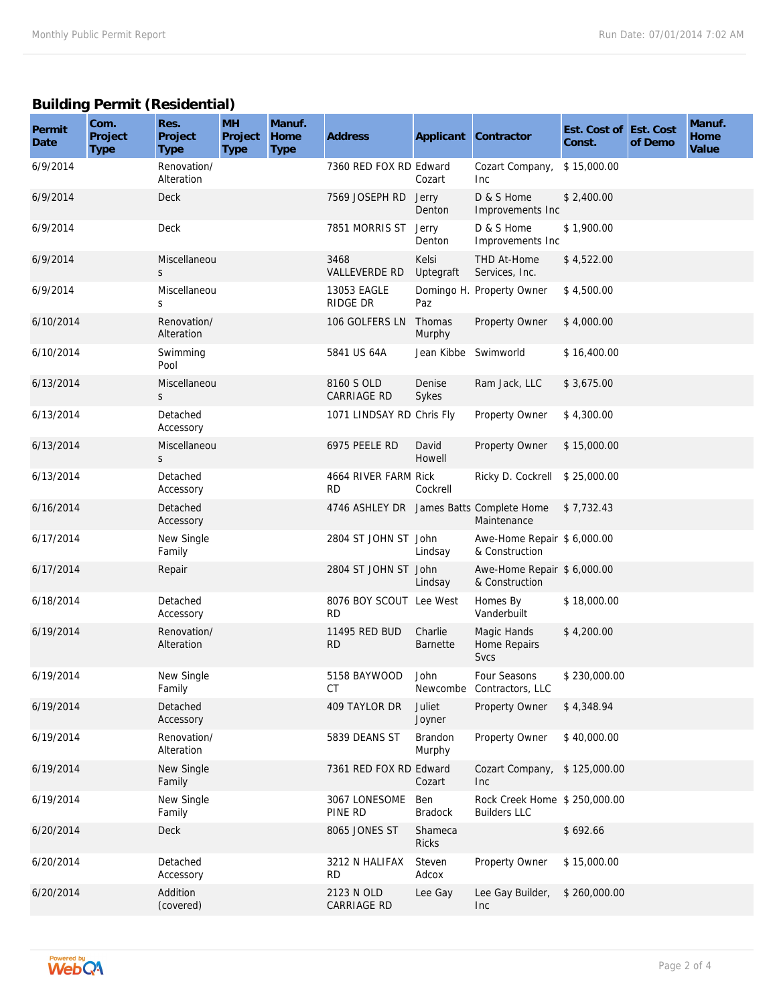## **Building Permit (Residential)**

| Permit<br>Date | Com.<br>Project<br><b>Type</b> | Res.<br>Project<br><b>Type</b> | <b>MH</b><br>Project<br>Type | Manuf.<br>Home<br>Type | <b>Address</b>                           | Applicant                  | Contractor                                           | Est. Cost of Est. Cost<br>Const. | of Demo | Manuf.<br>Home<br>Value |
|----------------|--------------------------------|--------------------------------|------------------------------|------------------------|------------------------------------------|----------------------------|------------------------------------------------------|----------------------------------|---------|-------------------------|
| 6/9/2014       |                                | Renovation/<br>Alteration      |                              |                        | 7360 RED FOX RD Edward                   | Cozart                     | Cozart Company,<br>Inc                               | \$15,000.00                      |         |                         |
| 6/9/2014       |                                | Deck                           |                              |                        | 7569 JOSEPH RD                           | Jerry<br>Denton            | D & S Home<br>Improvements Inc                       | \$2,400.00                       |         |                         |
| 6/9/2014       |                                | Deck                           |                              |                        | 7851 MORRIS ST                           | Jerry<br>Denton            | D & S Home<br>Improvements Inc                       | \$1,900.00                       |         |                         |
| 6/9/2014       |                                | Miscellaneou<br>S              |                              |                        | 3468<br>VALLEVERDE RD                    | Kelsi<br>Uptegraft         | THD At-Home<br>Services, Inc.                        | \$4,522.00                       |         |                         |
| 6/9/2014       |                                | Miscellaneou<br>S              |                              |                        | 13053 EAGLE<br>RIDGE DR                  | Paz                        | Domingo H. Property Owner                            | \$4,500.00                       |         |                         |
| 6/10/2014      |                                | Renovation/<br>Alteration      |                              |                        | 106 GOLFERS LN                           | Thomas<br>Murphy           | Property Owner                                       | \$4,000.00                       |         |                         |
| 6/10/2014      |                                | Swimming<br>Pool               |                              |                        | 5841 US 64A                              | Jean Kibbe Swimworld       |                                                      | \$16,400.00                      |         |                         |
| 6/13/2014      |                                | Miscellaneou<br>S              |                              |                        | 8160 S OLD<br><b>CARRIAGE RD</b>         | Denise<br>Sykes            | Ram Jack, LLC                                        | \$3,675.00                       |         |                         |
| 6/13/2014      |                                | Detached<br>Accessory          |                              |                        | 1071 LINDSAY RD Chris Fly                |                            | Property Owner                                       | \$4,300.00                       |         |                         |
| 6/13/2014      |                                | Miscellaneou<br>S              |                              |                        | 6975 PEELE RD                            | David<br>Howell            | Property Owner                                       | \$15,000.00                      |         |                         |
| 6/13/2014      |                                | Detached<br>Accessory          |                              |                        | 4664 RIVER FARM Rick<br><b>RD</b>        | Cockrell                   | Ricky D. Cockrell                                    | \$25,000.00                      |         |                         |
| 6/16/2014      |                                | Detached<br>Accessory          |                              |                        | 4746 ASHLEY DR James Batts Complete Home |                            | Maintenance                                          | \$7,732.43                       |         |                         |
| 6/17/2014      |                                | New Single<br>Family           |                              |                        | 2804 ST JOHN ST John                     | Lindsay                    | Awe-Home Repair \$ 6,000.00<br>& Construction        |                                  |         |                         |
| 6/17/2014      |                                | Repair                         |                              |                        | 2804 ST JOHN ST John                     | Lindsay                    | Awe-Home Repair \$ 6,000.00<br>& Construction        |                                  |         |                         |
| 6/18/2014      |                                | Detached<br>Accessory          |                              |                        | 8076 BOY SCOUT Lee West<br><b>RD</b>     |                            | Homes By<br>Vanderbuilt                              | \$18,000.00                      |         |                         |
| 6/19/2014      |                                | Renovation/<br>Alteration      |                              |                        | 11495 RED BUD<br><b>RD</b>               | Charlie<br><b>Barnette</b> | Magic Hands<br>Home Repairs<br><b>Svcs</b>           | \$4,200.00                       |         |                         |
| 6/19/2014      |                                | New Single<br>Family           |                              |                        | 5158 BAYWOOD<br><b>CT</b>                | John                       | Four Seasons<br>Newcombe Contractors, LLC            | \$230,000.00                     |         |                         |
| 6/19/2014      |                                | Detached<br>Accessory          |                              |                        | 409 TAYLOR DR                            | Juliet<br>Joyner           | Property Owner                                       | \$4,348.94                       |         |                         |
| 6/19/2014      |                                | Renovation/<br>Alteration      |                              |                        | 5839 DEANS ST                            | Brandon<br>Murphy          | Property Owner                                       | \$40,000.00                      |         |                         |
| 6/19/2014      |                                | New Single<br>Family           |                              |                        | 7361 RED FOX RD Edward                   | Cozart                     | Cozart Company,<br><b>Inc</b>                        | \$125,000.00                     |         |                         |
| 6/19/2014      |                                | New Single<br>Family           |                              |                        | 3067 LONESOME<br>PINE RD                 | Ben<br><b>Bradock</b>      | Rock Creek Home \$ 250,000.00<br><b>Builders LLC</b> |                                  |         |                         |
| 6/20/2014      |                                | Deck                           |                              |                        | 8065 JONES ST                            | Shameca<br><b>Ricks</b>    |                                                      | \$692.66                         |         |                         |
| 6/20/2014      |                                | Detached<br>Accessory          |                              |                        | 3212 N HALIFAX<br><b>RD</b>              | Steven<br>Adcox            | Property Owner                                       | \$15,000.00                      |         |                         |
| 6/20/2014      |                                | Addition<br>(covered)          |                              |                        | 2123 N OLD<br>CARRIAGE RD                | Lee Gay                    | Lee Gay Builder,<br><b>Inc</b>                       | \$260,000.00                     |         |                         |

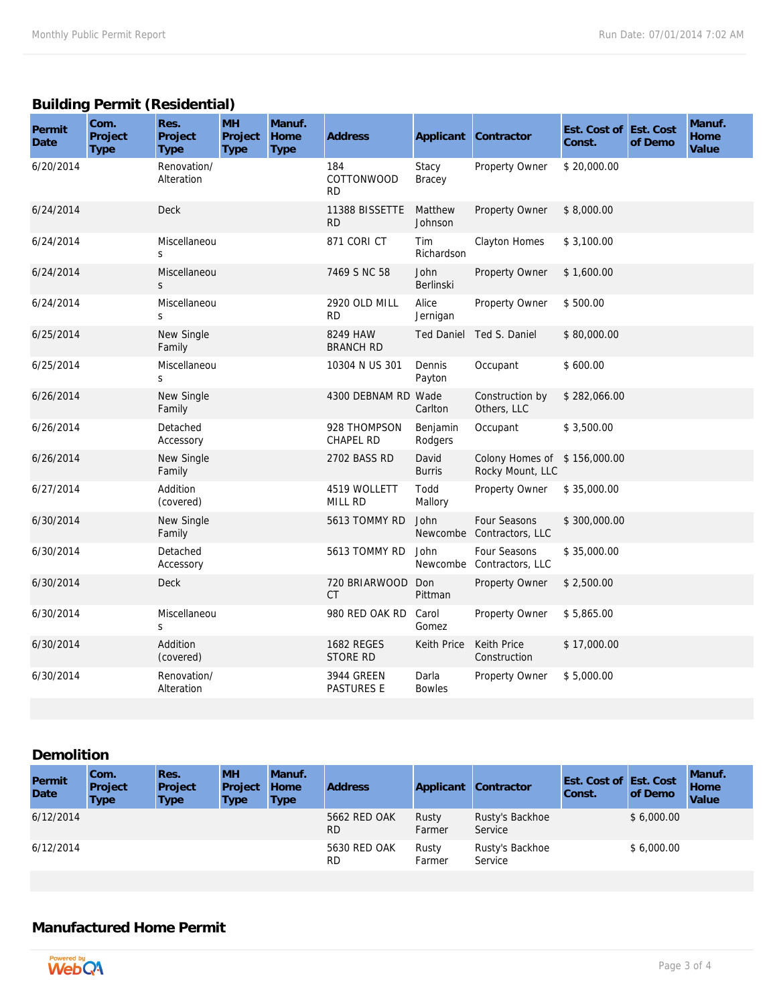#### **Building Permit (Residential)**

| Com.<br>Project<br><b>Type</b> | Res.<br>Project<br>Type      | <b>MH</b><br>Project<br><b>Type</b> | Manuf.<br>Home<br><b>Type</b> | <b>Address</b>                   | Applicant                | Contractor                       | Const.           | of Demo                      | Manuf.<br>Home<br>Value |
|--------------------------------|------------------------------|-------------------------------------|-------------------------------|----------------------------------|--------------------------|----------------------------------|------------------|------------------------------|-------------------------|
|                                | Renovation/<br>Alteration    |                                     |                               | 184<br>COTTONWOOD<br><b>RD</b>   | Stacy<br>Bracey          | Property Owner                   | \$20,000.00      |                              |                         |
|                                | <b>Deck</b>                  |                                     |                               | 11388 BISSETTE<br><b>RD</b>      | Matthew<br>Johnson       | Property Owner                   | \$8,000.00       |                              |                         |
|                                | Miscellaneou<br>S            |                                     |                               | 871 CORI CT                      | Tim<br>Richardson        | Clayton Homes                    | \$3,100.00       |                              |                         |
|                                | Miscellaneou<br><sub>S</sub> |                                     |                               | 7469 S NC 58                     | John<br><b>Berlinski</b> | Property Owner                   | \$1,600.00       |                              |                         |
|                                | Miscellaneou<br>S            |                                     |                               | 2920 OLD MILL<br><b>RD</b>       | Alice<br>Jernigan        | Property Owner                   | \$500.00         |                              |                         |
|                                | New Single<br>Family         |                                     |                               | 8249 HAW<br><b>BRANCH RD</b>     | <b>Ted Daniel</b>        | Ted S. Daniel                    | \$80,000.00      |                              |                         |
|                                | Miscellaneou<br>S            |                                     |                               | 10304 N US 301                   | Dennis<br>Payton         | Occupant                         | \$600.00         |                              |                         |
|                                | New Single<br>Family         |                                     |                               |                                  | Carlton                  | Construction by<br>Others, LLC   | \$282,066.00     |                              |                         |
|                                | Detached<br>Accessory        |                                     |                               | 928 THOMPSON<br><b>CHAPEL RD</b> | Benjamin<br>Rodgers      | Occupant                         | \$3,500.00       |                              |                         |
|                                | New Single<br>Family         |                                     |                               | 2702 BASS RD                     | David<br><b>Burris</b>   | Rocky Mount, LLC                 |                  |                              |                         |
|                                | Addition<br>(covered)        |                                     |                               | 4519 WOLLETT<br>MILL RD          | Todd<br>Mallory          | Property Owner                   | \$35,000.00      |                              |                         |
|                                | New Single<br>Family         |                                     |                               | 5613 TOMMY RD                    | John<br>Newcombe         | Four Seasons<br>Contractors, LLC | \$300,000.00     |                              |                         |
|                                | Detached<br>Accessory        |                                     |                               | 5613 TOMMY RD                    | John<br>Newcombe         | Four Seasons                     | \$35,000.00      |                              |                         |
|                                | Deck                         |                                     |                               | 720 BRIARWOOD<br><b>CT</b>       | Don<br>Pittman           | Property Owner                   | \$2,500.00       |                              |                         |
|                                | Miscellaneou<br>S            |                                     |                               | 980 RED OAK RD                   | Carol<br>Gomez           | Property Owner                   | \$5,865.00       |                              |                         |
|                                | Addition<br>(covered)        |                                     |                               | <b>1682 REGES</b><br>STORE RD    | <b>Keith Price</b>       | Keith Price<br>Construction      | \$17,000.00      |                              |                         |
|                                | Renovation/<br>Alteration    |                                     |                               | 3944 GREEN<br><b>PASTURES E</b>  | Darla<br><b>Bowles</b>   | Property Owner                   | \$5,000.00       |                              |                         |
|                                |                              |                                     |                               |                                  |                          | 4300 DEBNAM RD Wade              | Contractors, LLC | Colony Homes of \$156,000.00 | Est. Cost of Est. Cost  |

#### **Demolition**

| Permit<br><b>Date</b> | Com.<br>Project<br>Type | Res.<br>Project<br><b>Type</b> | <b>MH</b><br>Project<br><b>Type</b> | Manuf.<br><b>Home</b><br><b>Type</b> | <b>Address</b>            | Applicant       | <b>Contractor</b>          | Est. Cost of Est. Cost<br>Const. | of Demo    | Manuf.<br>Home<br>Value |
|-----------------------|-------------------------|--------------------------------|-------------------------------------|--------------------------------------|---------------------------|-----------------|----------------------------|----------------------------------|------------|-------------------------|
| 6/12/2014             |                         |                                |                                     |                                      | 5662 RED OAK<br><b>RD</b> | Rusty<br>Farmer | Rusty's Backhoe<br>Service |                                  | \$6,000.00 |                         |
| 6/12/2014             |                         |                                |                                     |                                      | 5630 RED OAK<br><b>RD</b> | Rusty<br>Farmer | Rusty's Backhoe<br>Service |                                  | \$6,000.00 |                         |

## **Manufactured Home Permit**